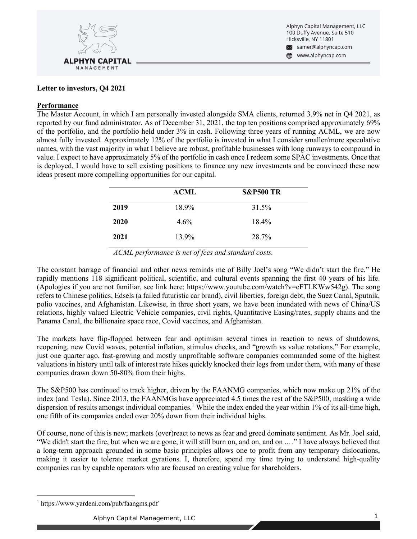

#### **Letter to investors, Q4 2021**

#### **Performance**

The Master Account, in which I am personally invested alongside SMA clients, returned 3.9% net in Q4 2021, as reported by our fund administrator. As of December 31, 2021, the top ten positions comprised approximately 69% of the portfolio, and the portfolio held under 3% in cash. Following three years of running ACML, we are now almost fully invested. Approximately 12% of the portfolio is invested in what I consider smaller/more speculative names, with the vast majority in what I believe are robust, profitable businesses with long runways to compound in value. I expect to have approximately 5% of the portfolio in cash once I redeem some SPAC investments. Once that is deployed, I would have to sell existing positions to finance any new investments and be convinced these new ideas present more compelling opportunities for our capital.

|      | <b>ACML</b> | <b>S&amp;P500 TR</b> |
|------|-------------|----------------------|
| 2019 | 18.9%       | 31.5%                |
| 2020 | $4.6\%$     | $18.4\%$             |
| 2021 | 13.9%       | 28.7%                |

*ACML performance is net of fees and standard costs.*

The constant barrage of financial and other news reminds me of Billy Joel's song "We didn't start the fire." He rapidly mentions 118 significant political, scientific, and cultural events spanning the first 40 years of his life. (Apologies if you are not familiar, see link here: https://www.youtube.com/watch?v=eFTLKWw542g). The song refers to Chinese politics, Edsels (a failed futuristic car brand), civil liberties, foreign debt, the Suez Canal, Sputnik, polio vaccines, and Afghanistan. Likewise, in three short years, we have been inundated with news of China/US relations, highly valued Electric Vehicle companies, civil rights, Quantitative Easing/rates, supply chains and the Panama Canal, the billionaire space race, Covid vaccines, and Afghanistan.

The markets have flip-flopped between fear and optimism several times in reaction to news of shutdowns, reopening, new Covid waves, potential inflation, stimulus checks, and "growth vs value rotations." For example, just one quarter ago, fast-growing and mostly unprofitable software companies commanded some of the highest valuations in history until talk of interest rate hikes quickly knocked their legs from under them, with many of these companies drawn down 50-80% from their highs.

The S&P500 has continued to track higher, driven by the FAANMG companies, which now make up 21% of the index (and Tesla). Since 2013, the FAANMGs have appreciated 4.5 times the rest of the S&P500, masking a wide dispersion of results amongst individual companies.<sup>1</sup> While the index ended the year within 1% of its all-time high, one fifth of its companies ended over 20% down from their individual highs.

Of course, none of this is new; markets (over)react to news as fear and greed dominate sentiment. As Mr. Joel said, "We didn't start the fire, but when we are gone, it will still burn on, and on, and on ... ." I have always believed that a long-term approach grounded in some basic principles allows one to profit from any temporary dislocations, making it easier to tolerate market gyrations. I, therefore, spend my time trying to understand high-quality companies run by capable operators who are focused on creating value for shareholders.

<sup>1</sup> https://www.yardeni.com/pub/faangms.pdf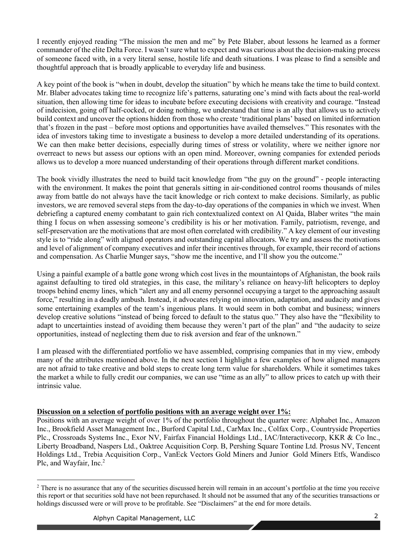I recently enjoyed reading "The mission the men and me" by Pete Blaber, about lessons he learned as a former commander of the elite Delta Force. I wasn't sure what to expect and was curious about the decision-making process of someone faced with, in a very literal sense, hostile life and death situations. I was please to find a sensible and thoughtful approach that is broadly applicable to everyday life and business.

A key point of the book is "when in doubt, develop the situation" by which he means take the time to build context. Mr. Blaber advocates taking time to recognize life's patterns, saturating one's mind with facts about the real-world situation, then allowing time for ideas to incubate before executing decisions with creativity and courage. "Instead of indecision, going off half-cocked, or doing nothing, we understand that time is an ally that allows us to actively build context and uncover the options hidden from those who create 'traditional plans' based on limited information that's frozen in the past – before most options and opportunities have availed themselves." This resonates with the idea of investors taking time to investigate a business to develop a more detailed understanding of its operations. We can then make better decisions, especially during times of stress or volatility, where we neither ignore nor overreact to news but assess our options with an open mind. Moreover, owning companies for extended periods allows us to develop a more nuanced understanding of their operations through different market conditions.

The book vividly illustrates the need to build tacit knowledge from "the guy on the ground" - people interacting with the environment. It makes the point that generals sitting in air-conditioned control rooms thousands of miles away from battle do not always have the tacit knowledge or rich context to make decisions. Similarly, as public investors, we are removed several steps from the day-to-day operations of the companies in which we invest. When debriefing a captured enemy combatant to gain rich contextualized context on Al Qaida, Blaber writes "the main thing I focus on when assessing someone's credibility is his or her motivation. Family, patriotism, revenge, and self-preservation are the motivations that are most often correlated with credibility." A key element of our investing style is to "ride along" with aligned operators and outstanding capital allocators. We try and assess the motivations and level of alignment of company executives and infer their incentives through, for example, their record of actions and compensation. As Charlie Munger says, "show me the incentive, and I'll show you the outcome."

Using a painful example of a battle gone wrong which cost lives in the mountaintops of Afghanistan, the book rails against defaulting to tired old strategies, in this case, the military's reliance on heavy-lift helicopters to deploy troops behind enemy lines, which "alert any and all enemy personnel occupying a target to the approaching assault force," resulting in a deadly ambush. Instead, it advocates relying on innovation, adaptation, and audacity and gives some entertaining examples of the team's ingenious plans. It would seem in both combat and business; winners develop creative solutions "instead of being forced to default to the status quo." They also have the "flexibility to adapt to uncertainties instead of avoiding them because they weren't part of the plan" and "the audacity to seize opportunities, instead of neglecting them due to risk aversion and fear of the unknown."

I am pleased with the differentiated portfolio we have assembled, comprising companies that in my view, embody many of the attributes mentioned above. In the next section I highlight a few examples of how aligned managers are not afraid to take creative and bold steps to create long term value for shareholders. While it sometimes takes the market a while to fully credit our companies, we can use "time as an ally" to allow prices to catch up with their intrinsic value.

## **Discussion on a selection of portfolio positions with an average weight over 1%:**

Positions with an average weight of over 1% of the portfolio throughout the quarter were: Alphabet Inc., Amazon Inc., Brookfield Asset Management Inc., Burford Capital Ltd., CarMax Inc., Colfax Corp., Countryside Properties Plc., Crossroads Systems Inc., Exor NV, Fairfax Financial Holdings Ltd., IAC/Interactivecorp, KKR & Co Inc., Liberty Broadband, Naspers Ltd., Oaktree Acquisition Corp. B, Pershing Square Tontine Ltd. Prosus NV, Tencent Holdings Ltd., Trebia Acquisition Corp., VanEck Vectors Gold Miners and Junior Gold Miners Etfs, Wandisco Plc, and Wayfair, Inc.<sup>2</sup>

<sup>&</sup>lt;sup>2</sup> There is no assurance that any of the securities discussed herein will remain in an account's portfolio at the time you receive this report or that securities sold have not been repurchased. It should not be assumed that any of the securities transactions or holdings discussed were or will prove to be profitable. See "Disclaimers" at the end for more details.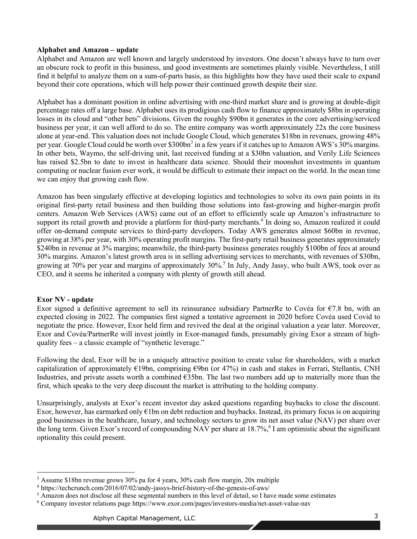## **Alphabet and Amazon – update**

Alphabet and Amazon are well known and largely understood by investors. One doesn't always have to turn over an obscure rock to profit in this business, and good investments are sometimes plainly visible. Nevertheless, I still find it helpful to analyze them on a sum-of-parts basis, as this highlights how they have used their scale to expand beyond their core operations, which will help power their continued growth despite their size.

Alphabet has a dominant position in online advertising with one-third market share and is growing at double-digit percentage rates off a large base. Alphabet uses its prodigious cash flow to finance approximately \$8bn in operating losses in its cloud and "other bets" divisions. Given the roughly \$90bn it generates in the core advertising/serviced business per year, it can well afford to do so. The entire company was worth approximately 22x the core business alone at year-end. This valuation does not include Google Cloud, which generates \$18bn in revenues, growing 48% per year. Google Cloud could be worth over \$300bn<sup>3</sup> in a few years if it catches up to Amazon AWS's 30% margins. In other bets, Waymo, the self-driving unit, last received funding at a \$30bn valuation, and Verily Life Sciences has raised \$2.5bn to date to invest in healthcare data science. Should their moonshot investments in quantum computing or nuclear fusion ever work, it would be difficult to estimate their impact on the world. In the mean time we can enjoy that growing cash flow.

Amazon has been singularly effective at developing logistics and technologies to solve its own pain points in its original first-party retail business and then building those solutions into fast-growing and higher-margin profit centers. Amazon Web Services (AWS) came out of an effort to efficiently scale up Amazon's infrastructure to support its retail growth and provide a platform for third-party merchants.<sup>4</sup> In doing so, Amazon realized it could offer on-demand compute services to third-party developers. Today AWS generates almost \$60bn in revenue, growing at 38% per year, with 30% operating profit margins. The first-party retail business generates approximately \$240bn in revenue at 3% margins; meanwhile, the third-party business generates roughly \$100bn of fees at around 30% margins. Amazon's latest growth area is in selling advertising services to merchants, with revenues of \$30bn, growing at 70% per year and margins of approximately 30%.<sup>5</sup> In July, Andy Jassy, who built AWS, took over as CEO, and it seems he inherited a company with plenty of growth still ahead.

## **Exor NV - update**

Exor signed a definitive agreement to sell its reinsurance subsidiary PartnerRe to Covéa for  $\epsilon$ 7.8 bn, with an expected closing in 2022. The companies first signed a tentative agreement in 2020 before Covéa used Covid to negotiate the price. However, Exor held firm and revived the deal at the original valuation a year later. Moreover, Exor and Covéa/PartnerRe will invest jointly in Exor-managed funds, presumably giving Exor a stream of highquality fees – a classic example of "synthetic leverage."

Following the deal, Exor will be in a uniquely attractive position to create value for shareholders, with a market capitalization of approximately  $\epsilon$ 19bn, comprising  $\epsilon$ 9bn (or 47%) in cash and stakes in Ferrari, Stellantis, CNH Industries, and private assets worth a combined €35bn. The last two numbers add up to materially more than the first, which speaks to the very deep discount the market is attributing to the holding company.

Unsurprisingly, analysts at Exor's recent investor day asked questions regarding buybacks to close the discount. Exor, however, has earmarked only  $\epsilon$ 1bn on debt reduction and buybacks. Instead, its primary focus is on acquiring good businesses in the healthcare, luxury, and technology sectors to grow its net asset value (NAV) per share over the long term. Given Exor's record of compounding NAV per share at  $18.7\%$ , I am optimistic about the significant optionality this could present.

<sup>3</sup> Assume \$18bn revenue grows 30% pa for 4 years, 30% cash flow margin, 20x multiple

<sup>4</sup> https://techcrunch.com/2016/07/02/andy-jassys-brief-history-of-the-genesis-of-aws/

<sup>&</sup>lt;sup>5</sup> Amazon does not disclose all these segmental numbers in this level of detail, so I have made some estimates

<sup>6</sup> Company investor relations page https://www.exor.com/pages/investors-media/net-asset-value-nav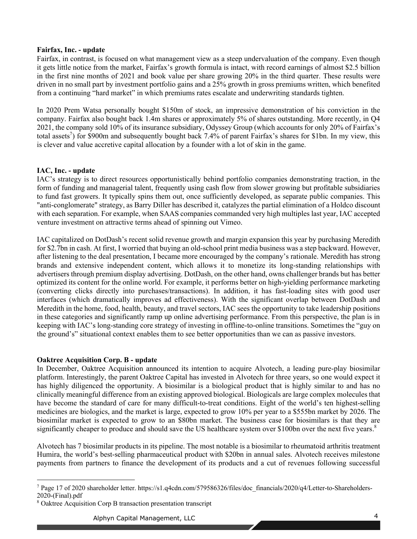### **Fairfax, Inc. - update**

Fairfax, in contrast, is focused on what management view as a steep undervaluation of the company. Even though it gets little notice from the market, Fairfax's growth formula is intact, with record earnings of almost \$2.5 billion in the first nine months of 2021 and book value per share growing 20% in the third quarter. These results were driven in no small part by investment portfolio gains and a 25% growth in gross premiums written, which benefited from a continuing "hard market" in which premiums rates escalate and underwriting standards tighten.

In 2020 Prem Watsa personally bought \$150m of stock, an impressive demonstration of his conviction in the company. Fairfax also bought back 1.4m shares or approximately 5% of shares outstanding. More recently, in Q4 2021, the company sold 10% of its insurance subsidiary, Odyssey Group (which accounts for only 20% of Fairfax's total assets<sup>7</sup>) for \$900m and subsequently bought back 7.4% of parent Fairfax's shares for \$1bn. In my view, this is clever and value accretive capital allocation by a founder with a lot of skin in the game.

## **IAC, Inc. - update**

IAC's strategy is to direct resources opportunistically behind portfolio companies demonstrating traction, in the form of funding and managerial talent, frequently using cash flow from slower growing but profitable subsidiaries to fund fast growers. It typically spins them out, once sufficiently developed, as separate public companies. This "anti-conglomerate" strategy, as Barry Diller has described it, catalyzes the partial elimination of a Holdco discount with each separation. For example, when SAAS companies commanded very high multiples last year, IAC accepted venture investment on attractive terms ahead of spinning out Vimeo.

IAC capitalized on DotDash's recent solid revenue growth and margin expansion this year by purchasing Meredith for \$2.7bn in cash. At first, I worried that buying an old-school print media business was a step backward. However, after listening to the deal presentation, I became more encouraged by the company's rationale. Meredith has strong brands and extensive independent content, which allows it to monetize its long-standing relationships with advertisers through premium display advertising. DotDash, on the other hand, owns challenger brands but has better optimized its content for the online world. For example, it performs better on high-yielding performance marketing (converting clicks directly into purchases/transactions). In addition, it has fast-loading sites with good user interfaces (which dramatically improves ad effectiveness). With the significant overlap between DotDash and Meredith in the home, food, health, beauty, and travel sectors, IAC sees the opportunity to take leadership positions in these categories and significantly ramp up online advertising performance. From this perspective, the plan is in keeping with IAC's long-standing core strategy of investing in offline-to-online transitions. Sometimes the "guy on the ground's" situational context enables them to see better opportunities than we can as passive investors.

## **Oaktree Acquisition Corp. B - update**

In December, Oaktree Acquisition announced its intention to acquire Alvotech, a leading pure-play biosimilar platform. Interestingly, the parent Oaktree Capital has invested in Alvotech for three years, so one would expect it has highly diligenced the opportunity. A biosimilar is a biological product that is highly similar to and has no clinically meaningful difference from an existing approved biological. Biologicals are large complex molecules that have become the standard of care for many difficult-to-treat conditions. Eight of the world's ten highest-selling medicines are biologics, and the market is large, expected to grow 10% per year to a \$555bn market by 2026. The biosimilar market is expected to grow to an \$80bn market. The business case for biosimilars is that they are significantly cheaper to produce and should save the US healthcare system over \$100bn over the next five years.<sup>8</sup>

Alvotech has 7 biosimilar products in its pipeline. The most notable is a biosimilar to rheumatoid arthritis treatment Humira, the world's best-selling pharmaceutical product with \$20bn in annual sales. Alvotech receives milestone payments from partners to finance the development of its products and a cut of revenues following successful

<sup>7</sup> Page 17 of 2020 shareholder letter. https://s1.q4cdn.com/579586326/files/doc\_financials/2020/q4/Letter-to-Shareholders-2020-(Final).pdf

<sup>8</sup> Oaktree Acquisition Corp B transaction presentation transcript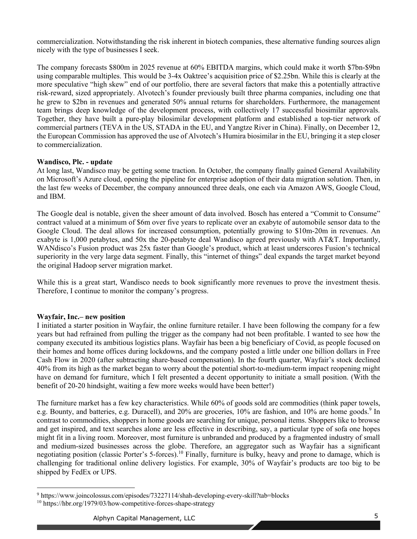commercialization. Notwithstanding the risk inherent in biotech companies, these alternative funding sources align nicely with the type of businesses I seek.

The company forecasts \$800m in 2025 revenue at 60% EBITDA margins, which could make it worth \$7bn-\$9bn using comparable multiples. This would be 3-4x Oaktree's acquisition price of \$2.25bn. While this is clearly at the more speculative "high skew" end of our portfolio, there are several factors that make this a potentially attractive risk-reward, sized appropriately. Alvotech's founder previously built three pharma companies, including one that he grew to \$2bn in revenues and generated 50% annual returns for shareholders. Furthermore, the management team brings deep knowledge of the development process, with collectively 17 successful biosimilar approvals. Together, they have built a pure-play bilosimilar development platform and established a top-tier network of commercial partners (TEVA in the US, STADA in the EU, and Yangtze River in China). Finally, on December 12, the European Commission has approved the use of Alvotech's Humira biosimilar in the EU, bringing it a step closer to commercialization.

### **Wandisco, Plc. - update**

At long last, Wandisco may be getting some traction. In October, the company finally gained General Availability on Microsoft's Azure cloud, opening the pipeline for enterprise adoption of their data migration solution. Then, in the last few weeks of December, the company announced three deals, one each via Amazon AWS, Google Cloud, and IBM.

The Google deal is notable, given the sheer amount of data involved. Bosch has entered a "Commit to Consume" contract valued at a minimum of \$6m over five years to replicate over an exabyte of automobile sensor data to the Google Cloud. The deal allows for increased consumption, potentially growing to \$10m-20m in revenues. An exabyte is 1,000 petabytes, and 50x the 20-petabyte deal Wandisco agreed previously with AT&T. Importantly, WANdisco's Fusion product was 25x faster than Google's product, which at least underscores Fusion's technical superiority in the very large data segment. Finally, this "internet of things" deal expands the target market beyond the original Hadoop server migration market.

While this is a great start, Wandisco needs to book significantly more revenues to prove the investment thesis. Therefore, I continue to monitor the company's progress.

#### **Wayfair, Inc.– new position**

I initiated a starter position in Wayfair, the online furniture retailer. I have been following the company for a few years but had refrained from pulling the trigger as the company had not been profitable. I wanted to see how the company executed its ambitious logistics plans. Wayfair has been a big beneficiary of Covid, as people focused on their homes and home offices during lockdowns, and the company posted a little under one billion dollars in Free Cash Flow in 2020 (after subtracting share-based compensation). In the fourth quarter, Wayfair's stock declined 40% from its high as the market began to worry about the potential short-to-medium-term impact reopening might have on demand for furniture, which I felt presented a decent opportunity to initiate a small position. (With the benefit of 20-20 hindsight, waiting a few more weeks would have been better!)

The furniture market has a few key characteristics. While 60% of goods sold are commodities (think paper towels, e.g. Bounty, and batteries, e.g. Duracell), and 20% are groceries, 10% are fashion, and 10% are home goods.<sup>9</sup> In contrast to commodities, shoppers in home goods are searching for unique, personal items. Shoppers like to browse and get inspired, and text searches alone are less effective in describing, say, a particular type of sofa one hopes might fit in a living room. Moreover, most furniture is unbranded and produced by a fragmented industry of small and medium-sized businesses across the globe. Therefore, an aggregator such as Wayfair has a significant negotiating position (classic Porter's 5-forces).<sup>10</sup> Finally, furniture is bulky, heavy and prone to damage, which is challenging for traditional online delivery logistics. For example, 30% of Wayfair's products are too big to be shipped by FedEx or UPS.

<sup>9</sup> https://www.joincolossus.com/episodes/73227114/shah-developing-every-skill?tab=blocks

<sup>&</sup>lt;sup>10</sup> https://hbr.org/1979/03/how-competitive-forces-shape-strategy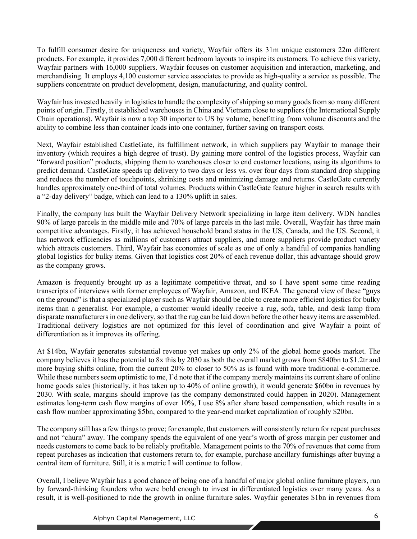To fulfill consumer desire for uniqueness and variety, Wayfair offers its 31m unique customers 22m different products. For example, it provides 7,000 different bedroom layouts to inspire its customers. To achieve this variety, Wayfair partners with 16,000 suppliers. Wayfair focuses on customer acquisition and interaction, marketing, and merchandising. It employs 4,100 customer service associates to provide as high-quality a service as possible. The suppliers concentrate on product development, design, manufacturing, and quality control.

Wayfair has invested heavily in logistics to handle the complexity of shipping so many goods from so many different points of origin. Firstly, it established warehouses in China and Vietnam close to suppliers (the International Supply Chain operations). Wayfair is now a top 30 importer to US by volume, benefitting from volume discounts and the ability to combine less than container loads into one container, further saving on transport costs.

Next, Wayfair established CastleGate, its fulfillment network, in which suppliers pay Wayfair to manage their inventory (which requires a high degree of trust). By gaining more control of the logistics process, Wayfair can "forward position" products, shipping them to warehouses closer to end customer locations, using its algorithms to predict demand. CastleGate speeds up delivery to two days or less vs. over four days from standard drop shipping and reduces the number of touchpoints, shrinking costs and minimizing damage and returns. CastleGate currently handles approximately one-third of total volumes. Products within CastleGate feature higher in search results with a "2-day delivery" badge, which can lead to a 130% uplift in sales.

Finally, the company has built the Wayfair Delivery Network specializing in large item delivery. WDN handles 90% of large parcels in the middle mile and 70% of large parcels in the last mile. Overall, Wayfair has three main competitive advantages. Firstly, it has achieved household brand status in the US, Canada, and the US. Second, it has network efficiencies as millions of customers attract suppliers, and more suppliers provide product variety which attracts customers. Third, Wayfair has economies of scale as one of only a handful of companies handling global logistics for bulky items. Given that logistics cost 20% of each revenue dollar, this advantage should grow as the company grows.

Amazon is frequently brought up as a legitimate competitive threat, and so I have spent some time reading transcripts of interviews with former employees of Wayfair, Amazon, and IKEA. The general view of these "guys on the ground" is that a specialized player such as Wayfair should be able to create more efficient logistics for bulky items than a generalist. For example, a customer would ideally receive a rug, sofa, table, and desk lamp from disparate manufacturers in one delivery, so that the rug can be laid down before the other heavy items are assembled. Traditional delivery logistics are not optimized for this level of coordination and give Wayfair a point of differentiation as it improves its offering.

At \$14bn, Wayfair generates substantial revenue yet makes up only 2% of the global home goods market. The company believes it has the potential to 8x this by 2030 as both the overall market grows from \$840bn to \$1.2tr and more buying shifts online, from the current 20% to closer to 50% as is found with more traditional e-commerce. While these numbers seem optimistic to me, I'd note that if the company merely maintains its current share of online home goods sales (historically, it has taken up to 40% of online growth), it would generate \$60bn in revenues by 2030. With scale, margins should improve (as the company demonstrated could happen in 2020). Management estimates long-term cash flow margins of over 10%, I use 8% after share based compensation, which results in a cash flow number approximating \$5bn, compared to the year-end market capitalization of roughly \$20bn.

The company still has a few things to prove; for example, that customers will consistently return for repeat purchases and not "churn" away. The company spends the equivalent of one year's worth of gross margin per customer and needs customers to come back to be reliably profitable. Management points to the 70% of revenues that come from repeat purchases as indication that customers return to, for example, purchase ancillary furnishings after buying a central item of furniture. Still, it is a metric I will continue to follow.

Overall, I believe Wayfair has a good chance of being one of a handful of major global online furniture players, run by forward-thinking founders who were bold enough to invest in differentiated logistics over many years. As a result, it is well-positioned to ride the growth in online furniture sales. Wayfair generates \$1bn in revenues from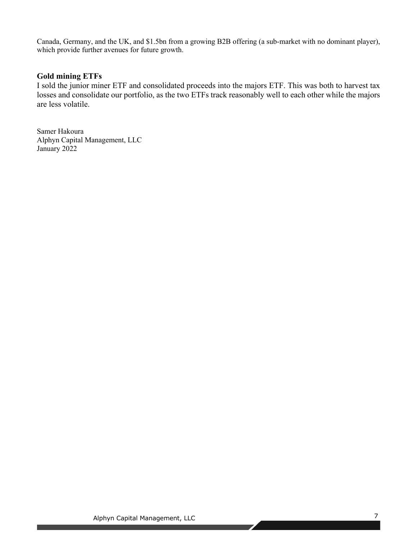Canada, Germany, and the UK, and \$1.5bn from a growing B2B offering (a sub-market with no dominant player), which provide further avenues for future growth.

# **Gold mining ETFs**

I sold the junior miner ETF and consolidated proceeds into the majors ETF. This was both to harvest tax losses and consolidate our portfolio, as the two ETFs track reasonably well to each other while the majors are less volatile.

Samer Hakoura Alphyn Capital Management, LLC January 2022